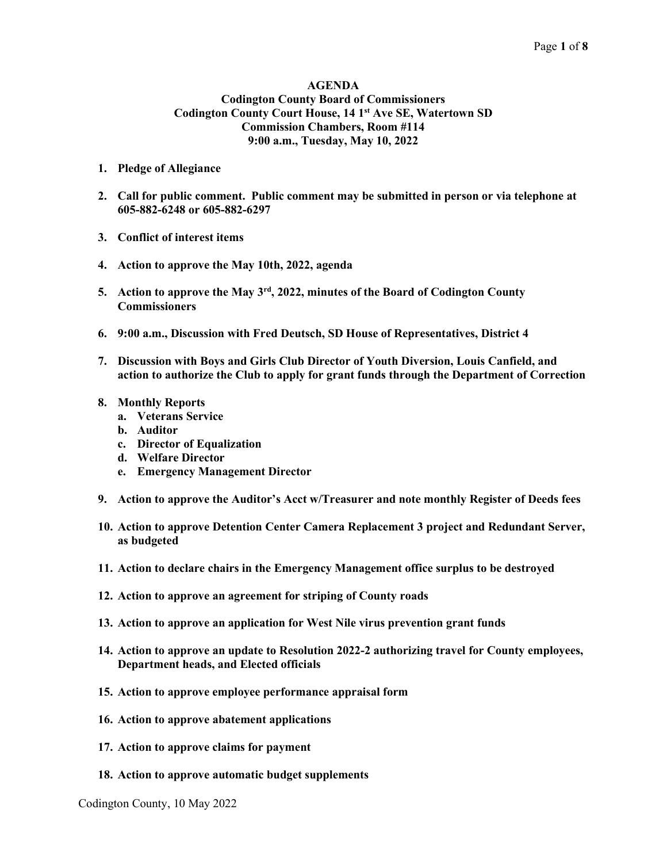### AGENDA Codington County Board of Commissioners Codington County Court House, 14 1st Ave SE, Watertown SD Commission Chambers, Room #114 9:00 a.m., Tuesday, May 10, 2022

- 1. Pledge of Allegiance
- 2. Call for public comment. Public comment may be submitted in person or via telephone at 605-882-6248 or 605-882-6297
- 3. Conflict of interest items
- 4. Action to approve the May 10th, 2022, agenda
- 5. Action to approve the May  $3<sup>rd</sup>$ , 2022, minutes of the Board of Codington County **Commissioners**
- 6. 9:00 a.m., Discussion with Fred Deutsch, SD House of Representatives, District 4
- 7. Discussion with Boys and Girls Club Director of Youth Diversion, Louis Canfield, and action to authorize the Club to apply for grant funds through the Department of Correction
- 8. Monthly Reports
	- a. Veterans Service
	- b. Auditor
	- c. Director of Equalization
	- d. Welfare Director
	- e. Emergency Management Director
- 9. Action to approve the Auditor's Acct w/Treasurer and note monthly Register of Deeds fees
- 10. Action to approve Detention Center Camera Replacement 3 project and Redundant Server, as budgeted
- 11. Action to declare chairs in the Emergency Management office surplus to be destroyed
- 12. Action to approve an agreement for striping of County roads
- 13. Action to approve an application for West Nile virus prevention grant funds
- 14. Action to approve an update to Resolution 2022-2 authorizing travel for County employees, Department heads, and Elected officials
- 15. Action to approve employee performance appraisal form
- 16. Action to approve abatement applications
- 17. Action to approve claims for payment
- 18. Action to approve automatic budget supplements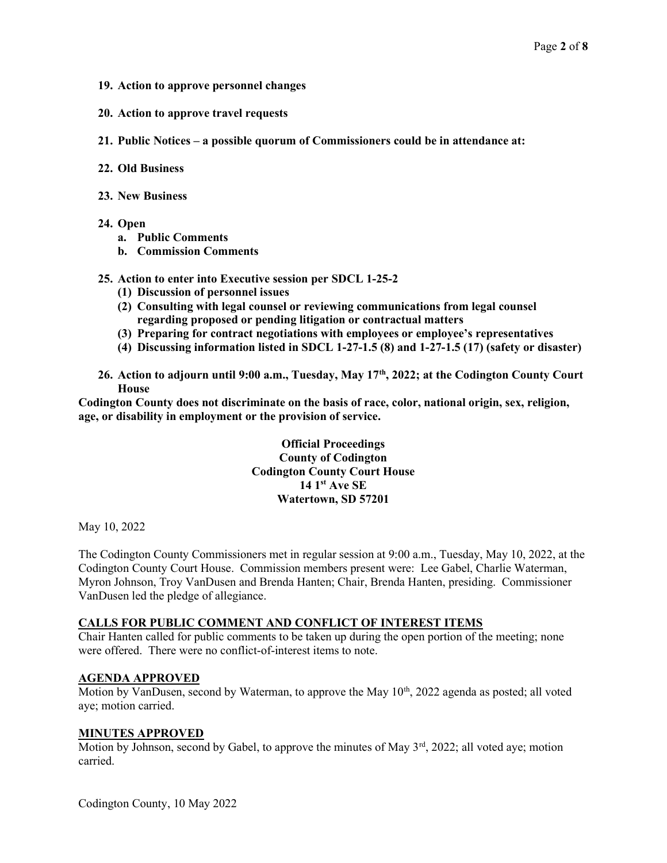- 19. Action to approve personnel changes
- 20. Action to approve travel requests
- 21. Public Notices a possible quorum of Commissioners could be in attendance at:
- 22. Old Business
- 23. New Business
- 24. Open
	- a. Public Comments
	- b. Commission Comments

### 25. Action to enter into Executive session per SDCL 1-25-2

- (1) Discussion of personnel issues
- (2) Consulting with legal counsel or reviewing communications from legal counsel regarding proposed or pending litigation or contractual matters
- (3) Preparing for contract negotiations with employees or employee's representatives
- (4) Discussing information listed in SDCL 1-27-1.5 (8) and 1-27-1.5 (17) (safety or disaster)
- 26. Action to adjourn until 9:00 a.m., Tuesday, May 17<sup>th</sup>, 2022; at the Codington County Court House

Codington County does not discriminate on the basis of race, color, national origin, sex, religion, age, or disability in employment or the provision of service.

> Official Proceedings County of Codington Codington County Court House 14 1<sup>st</sup> Ave SE Watertown, SD 57201

May 10, 2022

The Codington County Commissioners met in regular session at 9:00 a.m., Tuesday, May 10, 2022, at the Codington County Court House. Commission members present were: Lee Gabel, Charlie Waterman, Myron Johnson, Troy VanDusen and Brenda Hanten; Chair, Brenda Hanten, presiding. Commissioner VanDusen led the pledge of allegiance.

## CALLS FOR PUBLIC COMMENT AND CONFLICT OF INTEREST ITEMS

Chair Hanten called for public comments to be taken up during the open portion of the meeting; none were offered. There were no conflict-of-interest items to note.

#### AGENDA APPROVED

Motion by VanDusen, second by Waterman, to approve the May  $10<sup>th</sup>$ , 2022 agenda as posted; all voted aye; motion carried.

#### MINUTES APPROVED

Motion by Johnson, second by Gabel, to approve the minutes of May  $3<sup>rd</sup>$ , 2022; all voted aye; motion carried.

Codington County, 10 May 2022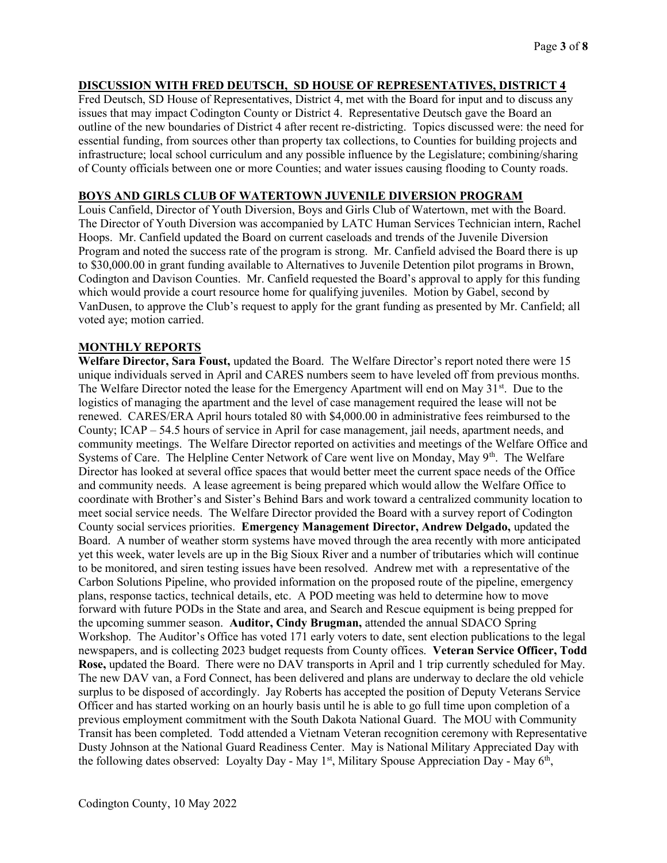# DISCUSSION WITH FRED DEUTSCH, SD HOUSE OF REPRESENTATIVES, DISTRICT 4

Fred Deutsch, SD House of Representatives, District 4, met with the Board for input and to discuss any issues that may impact Codington County or District 4. Representative Deutsch gave the Board an outline of the new boundaries of District 4 after recent re-districting. Topics discussed were: the need for essential funding, from sources other than property tax collections, to Counties for building projects and infrastructure; local school curriculum and any possible influence by the Legislature; combining/sharing of County officials between one or more Counties; and water issues causing flooding to County roads.

## BOYS AND GIRLS CLUB OF WATERTOWN JUVENILE DIVERSION PROGRAM

Louis Canfield, Director of Youth Diversion, Boys and Girls Club of Watertown, met with the Board. The Director of Youth Diversion was accompanied by LATC Human Services Technician intern, Rachel Hoops. Mr. Canfield updated the Board on current caseloads and trends of the Juvenile Diversion Program and noted the success rate of the program is strong. Mr. Canfield advised the Board there is up to \$30,000.00 in grant funding available to Alternatives to Juvenile Detention pilot programs in Brown, Codington and Davison Counties. Mr. Canfield requested the Board's approval to apply for this funding which would provide a court resource home for qualifying juveniles. Motion by Gabel, second by VanDusen, to approve the Club's request to apply for the grant funding as presented by Mr. Canfield; all voted aye; motion carried.

## MONTHLY REPORTS

Welfare Director, Sara Foust, updated the Board. The Welfare Director's report noted there were 15 unique individuals served in April and CARES numbers seem to have leveled off from previous months. The Welfare Director noted the lease for the Emergency Apartment will end on May 31<sup>st</sup>. Due to the logistics of managing the apartment and the level of case management required the lease will not be renewed. CARES/ERA April hours totaled 80 with \$4,000.00 in administrative fees reimbursed to the County; ICAP – 54.5 hours of service in April for case management, jail needs, apartment needs, and community meetings. The Welfare Director reported on activities and meetings of the Welfare Office and Systems of Care. The Helpline Center Network of Care went live on Monday, May  $9<sup>th</sup>$ . The Welfare Director has looked at several office spaces that would better meet the current space needs of the Office and community needs. A lease agreement is being prepared which would allow the Welfare Office to coordinate with Brother's and Sister's Behind Bars and work toward a centralized community location to meet social service needs. The Welfare Director provided the Board with a survey report of Codington County social services priorities. Emergency Management Director, Andrew Delgado, updated the Board. A number of weather storm systems have moved through the area recently with more anticipated yet this week, water levels are up in the Big Sioux River and a number of tributaries which will continue to be monitored, and siren testing issues have been resolved. Andrew met with a representative of the Carbon Solutions Pipeline, who provided information on the proposed route of the pipeline, emergency plans, response tactics, technical details, etc. A POD meeting was held to determine how to move forward with future PODs in the State and area, and Search and Rescue equipment is being prepped for the upcoming summer season. Auditor, Cindy Brugman, attended the annual SDACO Spring Workshop. The Auditor's Office has voted 171 early voters to date, sent election publications to the legal newspapers, and is collecting 2023 budget requests from County offices. Veteran Service Officer, Todd Rose, updated the Board. There were no DAV transports in April and 1 trip currently scheduled for May. The new DAV van, a Ford Connect, has been delivered and plans are underway to declare the old vehicle surplus to be disposed of accordingly. Jay Roberts has accepted the position of Deputy Veterans Service Officer and has started working on an hourly basis until he is able to go full time upon completion of a previous employment commitment with the South Dakota National Guard. The MOU with Community Transit has been completed. Todd attended a Vietnam Veteran recognition ceremony with Representative Dusty Johnson at the National Guard Readiness Center. May is National Military Appreciated Day with the following dates observed: Loyalty Day - May  $1<sup>st</sup>$ , Military Spouse Appreciation Day - May  $6<sup>th</sup>$ ,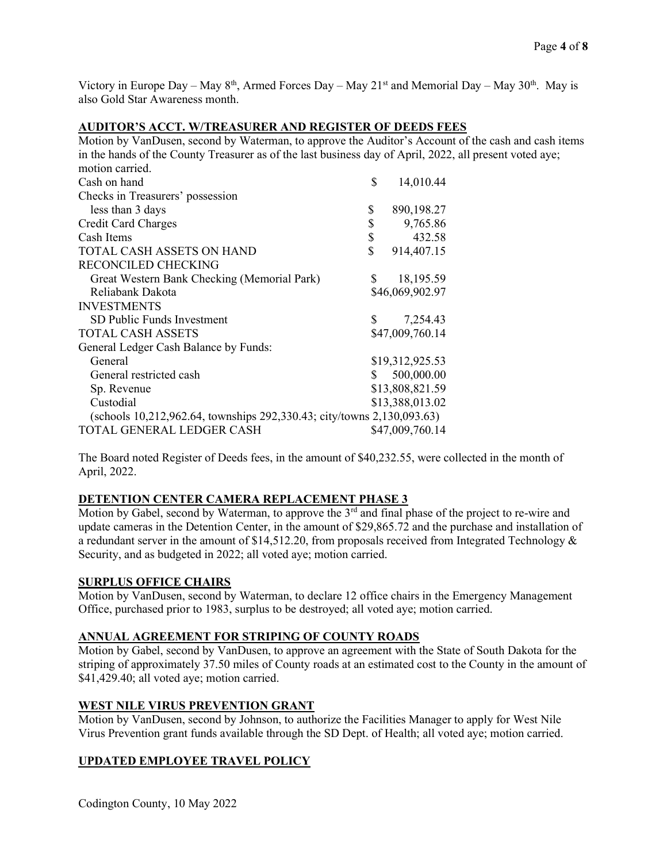Victory in Europe Day – May  $8<sup>th</sup>$ , Armed Forces Day – May 21<sup>st</sup> and Memorial Day – May 30<sup>th</sup>. May is also Gold Star Awareness month.

### AUDITOR'S ACCT. W/TREASURER AND REGISTER OF DEEDS FEES

Motion by VanDusen, second by Waterman, to approve the Auditor's Account of the cash and cash items in the hands of the County Treasurer as of the last business day of April, 2022, all present voted aye; motion carried. Cash on hand  $\qquad \qquad$  14,010.44 Checks in Treasurers' possession less than 3 days \$ 890,198.27 Credit Card Charges  $\begin{array}{cc} \text{5} & 9,765.86 \\ \text{Cash items} & \text{5} & 432.58 \end{array}$  $\cosh$  Items  $\cosh$  432.58 TOTAL CASH ASSETS ON HAND  $$914,407.15$ 

| TOTAL CASH ASSETS ON HAND                                              | 914,407.15      |
|------------------------------------------------------------------------|-----------------|
| <b>RECONCILED CHECKING</b>                                             |                 |
| Great Western Bank Checking (Memorial Park)                            | 18,195.59       |
| Reliabank Dakota                                                       | \$46,069,902.97 |
| <b>INVESTMENTS</b>                                                     |                 |
| SD Public Funds Investment                                             | 7,254.43        |
| <b>TOTAL CASH ASSETS</b>                                               | \$47,009,760.14 |
| General Ledger Cash Balance by Funds:                                  |                 |
| General                                                                | \$19,312,925.53 |
| General restricted cash                                                | 500,000.00      |
| Sp. Revenue                                                            | \$13,808,821.59 |
| Custodial                                                              | \$13,388,013.02 |
| (schools 10,212,962.64, townships 292,330.43; city/towns 2,130,093.63) |                 |
| TOTAL GENERAL LEDGER CASH                                              | \$47,009,760.14 |

The Board noted Register of Deeds fees, in the amount of \$40,232.55, were collected in the month of April, 2022.

## DETENTION CENTER CAMERA REPLACEMENT PHASE 3

Motion by Gabel, second by Waterman, to approve the  $3<sup>rd</sup>$  and final phase of the project to re-wire and update cameras in the Detention Center, in the amount of \$29,865.72 and the purchase and installation of a redundant server in the amount of \$14,512.20, from proposals received from Integrated Technology & Security, and as budgeted in 2022; all voted aye; motion carried.

### SURPLUS OFFICE CHAIRS

Motion by VanDusen, second by Waterman, to declare 12 office chairs in the Emergency Management Office, purchased prior to 1983, surplus to be destroyed; all voted aye; motion carried.

# ANNUAL AGREEMENT FOR STRIPING OF COUNTY ROADS

Motion by Gabel, second by VanDusen, to approve an agreement with the State of South Dakota for the striping of approximately 37.50 miles of County roads at an estimated cost to the County in the amount of \$41,429.40; all voted aye; motion carried.

## WEST NILE VIRUS PREVENTION GRANT

Motion by VanDusen, second by Johnson, to authorize the Facilities Manager to apply for West Nile Virus Prevention grant funds available through the SD Dept. of Health; all voted aye; motion carried.

# UPDATED EMPLOYEE TRAVEL POLICY

Codington County, 10 May 2022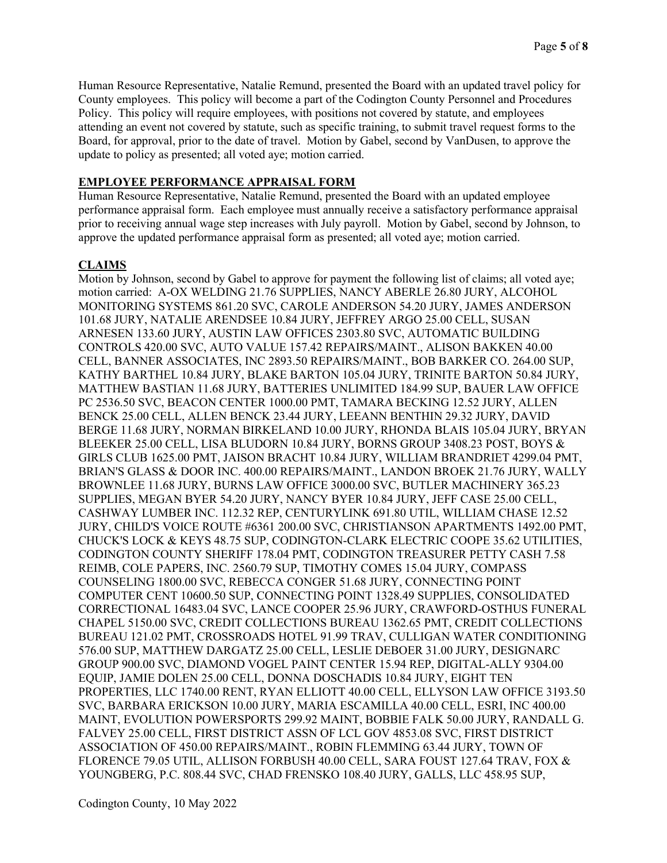Human Resource Representative, Natalie Remund, presented the Board with an updated travel policy for County employees. This policy will become a part of the Codington County Personnel and Procedures Policy. This policy will require employees, with positions not covered by statute, and employees attending an event not covered by statute, such as specific training, to submit travel request forms to the Board, for approval, prior to the date of travel. Motion by Gabel, second by VanDusen, to approve the update to policy as presented; all voted aye; motion carried.

### EMPLOYEE PERFORMANCE APPRAISAL FORM

Human Resource Representative, Natalie Remund, presented the Board with an updated employee performance appraisal form. Each employee must annually receive a satisfactory performance appraisal prior to receiving annual wage step increases with July payroll. Motion by Gabel, second by Johnson, to approve the updated performance appraisal form as presented; all voted aye; motion carried.

### CLAIMS

Motion by Johnson, second by Gabel to approve for payment the following list of claims; all voted aye; motion carried: A-OX WELDING 21.76 SUPPLIES, NANCY ABERLE 26.80 JURY, ALCOHOL MONITORING SYSTEMS 861.20 SVC, CAROLE ANDERSON 54.20 JURY, JAMES ANDERSON 101.68 JURY, NATALIE ARENDSEE 10.84 JURY, JEFFREY ARGO 25.00 CELL, SUSAN ARNESEN 133.60 JURY, AUSTIN LAW OFFICES 2303.80 SVC, AUTOMATIC BUILDING CONTROLS 420.00 SVC, AUTO VALUE 157.42 REPAIRS/MAINT., ALISON BAKKEN 40.00 CELL, BANNER ASSOCIATES, INC 2893.50 REPAIRS/MAINT., BOB BARKER CO. 264.00 SUP, KATHY BARTHEL 10.84 JURY, BLAKE BARTON 105.04 JURY, TRINITE BARTON 50.84 JURY, MATTHEW BASTIAN 11.68 JURY, BATTERIES UNLIMITED 184.99 SUP, BAUER LAW OFFICE PC 2536.50 SVC, BEACON CENTER 1000.00 PMT, TAMARA BECKING 12.52 JURY, ALLEN BENCK 25.00 CELL, ALLEN BENCK 23.44 JURY, LEEANN BENTHIN 29.32 JURY, DAVID BERGE 11.68 JURY, NORMAN BIRKELAND 10.00 JURY, RHONDA BLAIS 105.04 JURY, BRYAN BLEEKER 25.00 CELL, LISA BLUDORN 10.84 JURY, BORNS GROUP 3408.23 POST, BOYS & GIRLS CLUB 1625.00 PMT, JAISON BRACHT 10.84 JURY, WILLIAM BRANDRIET 4299.04 PMT, BRIAN'S GLASS & DOOR INC. 400.00 REPAIRS/MAINT., LANDON BROEK 21.76 JURY, WALLY BROWNLEE 11.68 JURY, BURNS LAW OFFICE 3000.00 SVC, BUTLER MACHINERY 365.23 SUPPLIES, MEGAN BYER 54.20 JURY, NANCY BYER 10.84 JURY, JEFF CASE 25.00 CELL, CASHWAY LUMBER INC. 112.32 REP, CENTURYLINK 691.80 UTIL, WILLIAM CHASE 12.52 JURY, CHILD'S VOICE ROUTE #6361 200.00 SVC, CHRISTIANSON APARTMENTS 1492.00 PMT, CHUCK'S LOCK & KEYS 48.75 SUP, CODINGTON-CLARK ELECTRIC COOPE 35.62 UTILITIES, CODINGTON COUNTY SHERIFF 178.04 PMT, CODINGTON TREASURER PETTY CASH 7.58 REIMB, COLE PAPERS, INC. 2560.79 SUP, TIMOTHY COMES 15.04 JURY, COMPASS COUNSELING 1800.00 SVC, REBECCA CONGER 51.68 JURY, CONNECTING POINT COMPUTER CENT 10600.50 SUP, CONNECTING POINT 1328.49 SUPPLIES, CONSOLIDATED CORRECTIONAL 16483.04 SVC, LANCE COOPER 25.96 JURY, CRAWFORD-OSTHUS FUNERAL CHAPEL 5150.00 SVC, CREDIT COLLECTIONS BUREAU 1362.65 PMT, CREDIT COLLECTIONS BUREAU 121.02 PMT, CROSSROADS HOTEL 91.99 TRAV, CULLIGAN WATER CONDITIONING 576.00 SUP, MATTHEW DARGATZ 25.00 CELL, LESLIE DEBOER 31.00 JURY, DESIGNARC GROUP 900.00 SVC, DIAMOND VOGEL PAINT CENTER 15.94 REP, DIGITAL-ALLY 9304.00 EQUIP, JAMIE DOLEN 25.00 CELL, DONNA DOSCHADIS 10.84 JURY, EIGHT TEN PROPERTIES, LLC 1740.00 RENT, RYAN ELLIOTT 40.00 CELL, ELLYSON LAW OFFICE 3193.50 SVC, BARBARA ERICKSON 10.00 JURY, MARIA ESCAMILLA 40.00 CELL, ESRI, INC 400.00 MAINT, EVOLUTION POWERSPORTS 299.92 MAINT, BOBBIE FALK 50.00 JURY, RANDALL G. FALVEY 25.00 CELL, FIRST DISTRICT ASSN OF LCL GOV 4853.08 SVC, FIRST DISTRICT ASSOCIATION OF 450.00 REPAIRS/MAINT., ROBIN FLEMMING 63.44 JURY, TOWN OF FLORENCE 79.05 UTIL, ALLISON FORBUSH 40.00 CELL, SARA FOUST 127.64 TRAV, FOX & YOUNGBERG, P.C. 808.44 SVC, CHAD FRENSKO 108.40 JURY, GALLS, LLC 458.95 SUP,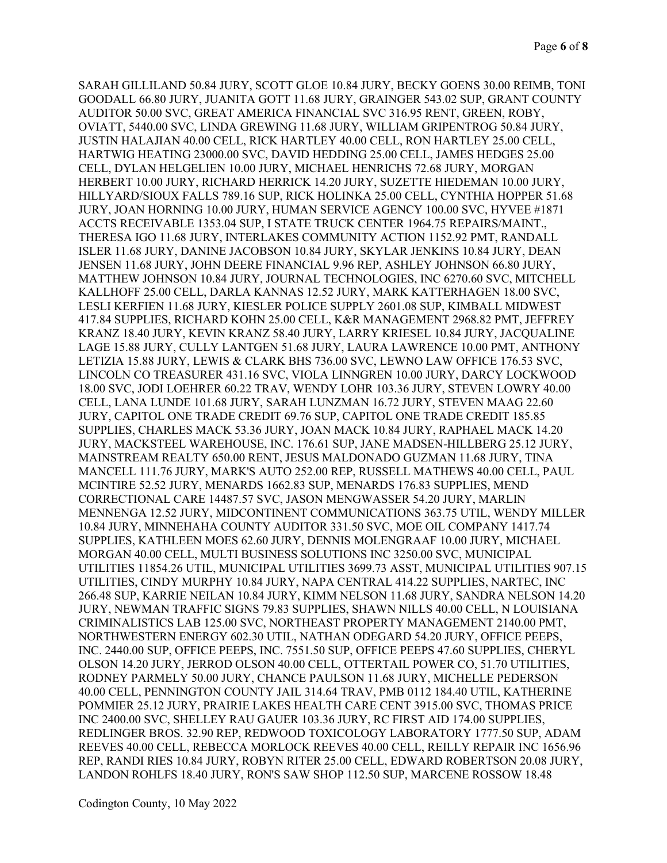SARAH GILLILAND 50.84 JURY, SCOTT GLOE 10.84 JURY, BECKY GOENS 30.00 REIMB, TONI GOODALL 66.80 JURY, JUANITA GOTT 11.68 JURY, GRAINGER 543.02 SUP, GRANT COUNTY AUDITOR 50.00 SVC, GREAT AMERICA FINANCIAL SVC 316.95 RENT, GREEN, ROBY, OVIATT, 5440.00 SVC, LINDA GREWING 11.68 JURY, WILLIAM GRIPENTROG 50.84 JURY, JUSTIN HALAJIAN 40.00 CELL, RICK HARTLEY 40.00 CELL, RON HARTLEY 25.00 CELL, HARTWIG HEATING 23000.00 SVC, DAVID HEDDING 25.00 CELL, JAMES HEDGES 25.00 CELL, DYLAN HELGELIEN 10.00 JURY, MICHAEL HENRICHS 72.68 JURY, MORGAN HERBERT 10.00 JURY, RICHARD HERRICK 14.20 JURY, SUZETTE HIEDEMAN 10.00 JURY, HILLYARD/SIOUX FALLS 789.16 SUP, RICK HOLINKA 25.00 CELL, CYNTHIA HOPPER 51.68 JURY, JOAN HORNING 10.00 JURY, HUMAN SERVICE AGENCY 100.00 SVC, HYVEE #1871 ACCTS RECEIVABLE 1353.04 SUP, I STATE TRUCK CENTER 1964.75 REPAIRS/MAINT., THERESA IGO 11.68 JURY, INTERLAKES COMMUNITY ACTION 1152.92 PMT, RANDALL ISLER 11.68 JURY, DANINE JACOBSON 10.84 JURY, SKYLAR JENKINS 10.84 JURY, DEAN JENSEN 11.68 JURY, JOHN DEERE FINANCIAL 9.96 REP, ASHLEY JOHNSON 66.80 JURY, MATTHEW JOHNSON 10.84 JURY, JOURNAL TECHNOLOGIES, INC 6270.60 SVC, MITCHELL KALLHOFF 25.00 CELL, DARLA KANNAS 12.52 JURY, MARK KATTERHAGEN 18.00 SVC, LESLI KERFIEN 11.68 JURY, KIESLER POLICE SUPPLY 2601.08 SUP, KIMBALL MIDWEST 417.84 SUPPLIES, RICHARD KOHN 25.00 CELL, K&R MANAGEMENT 2968.82 PMT, JEFFREY KRANZ 18.40 JURY, KEVIN KRANZ 58.40 JURY, LARRY KRIESEL 10.84 JURY, JACQUALINE LAGE 15.88 JURY, CULLY LANTGEN 51.68 JURY, LAURA LAWRENCE 10.00 PMT, ANTHONY LETIZIA 15.88 JURY, LEWIS & CLARK BHS 736.00 SVC, LEWNO LAW OFFICE 176.53 SVC, LINCOLN CO TREASURER 431.16 SVC, VIOLA LINNGREN 10.00 JURY, DARCY LOCKWOOD 18.00 SVC, JODI LOEHRER 60.22 TRAV, WENDY LOHR 103.36 JURY, STEVEN LOWRY 40.00 CELL, LANA LUNDE 101.68 JURY, SARAH LUNZMAN 16.72 JURY, STEVEN MAAG 22.60 JURY, CAPITOL ONE TRADE CREDIT 69.76 SUP, CAPITOL ONE TRADE CREDIT 185.85 SUPPLIES, CHARLES MACK 53.36 JURY, JOAN MACK 10.84 JURY, RAPHAEL MACK 14.20 JURY, MACKSTEEL WAREHOUSE, INC. 176.61 SUP, JANE MADSEN-HILLBERG 25.12 JURY, MAINSTREAM REALTY 650.00 RENT, JESUS MALDONADO GUZMAN 11.68 JURY, TINA MANCELL 111.76 JURY, MARK'S AUTO 252.00 REP, RUSSELL MATHEWS 40.00 CELL, PAUL MCINTIRE 52.52 JURY, MENARDS 1662.83 SUP, MENARDS 176.83 SUPPLIES, MEND CORRECTIONAL CARE 14487.57 SVC, JASON MENGWASSER 54.20 JURY, MARLIN MENNENGA 12.52 JURY, MIDCONTINENT COMMUNICATIONS 363.75 UTIL, WENDY MILLER 10.84 JURY, MINNEHAHA COUNTY AUDITOR 331.50 SVC, MOE OIL COMPANY 1417.74 SUPPLIES, KATHLEEN MOES 62.60 JURY, DENNIS MOLENGRAAF 10.00 JURY, MICHAEL MORGAN 40.00 CELL, MULTI BUSINESS SOLUTIONS INC 3250.00 SVC, MUNICIPAL UTILITIES 11854.26 UTIL, MUNICIPAL UTILITIES 3699.73 ASST, MUNICIPAL UTILITIES 907.15 UTILITIES, CINDY MURPHY 10.84 JURY, NAPA CENTRAL 414.22 SUPPLIES, NARTEC, INC 266.48 SUP, KARRIE NEILAN 10.84 JURY, KIMM NELSON 11.68 JURY, SANDRA NELSON 14.20 JURY, NEWMAN TRAFFIC SIGNS 79.83 SUPPLIES, SHAWN NILLS 40.00 CELL, N LOUISIANA CRIMINALISTICS LAB 125.00 SVC, NORTHEAST PROPERTY MANAGEMENT 2140.00 PMT, NORTHWESTERN ENERGY 602.30 UTIL, NATHAN ODEGARD 54.20 JURY, OFFICE PEEPS, INC. 2440.00 SUP, OFFICE PEEPS, INC. 7551.50 SUP, OFFICE PEEPS 47.60 SUPPLIES, CHERYL OLSON 14.20 JURY, JERROD OLSON 40.00 CELL, OTTERTAIL POWER CO, 51.70 UTILITIES, RODNEY PARMELY 50.00 JURY, CHANCE PAULSON 11.68 JURY, MICHELLE PEDERSON 40.00 CELL, PENNINGTON COUNTY JAIL 314.64 TRAV, PMB 0112 184.40 UTIL, KATHERINE POMMIER 25.12 JURY, PRAIRIE LAKES HEALTH CARE CENT 3915.00 SVC, THOMAS PRICE INC 2400.00 SVC, SHELLEY RAU GAUER 103.36 JURY, RC FIRST AID 174.00 SUPPLIES, REDLINGER BROS. 32.90 REP, REDWOOD TOXICOLOGY LABORATORY 1777.50 SUP, ADAM REEVES 40.00 CELL, REBECCA MORLOCK REEVES 40.00 CELL, REILLY REPAIR INC 1656.96 REP, RANDI RIES 10.84 JURY, ROBYN RITER 25.00 CELL, EDWARD ROBERTSON 20.08 JURY, LANDON ROHLFS 18.40 JURY, RON'S SAW SHOP 112.50 SUP, MARCENE ROSSOW 18.48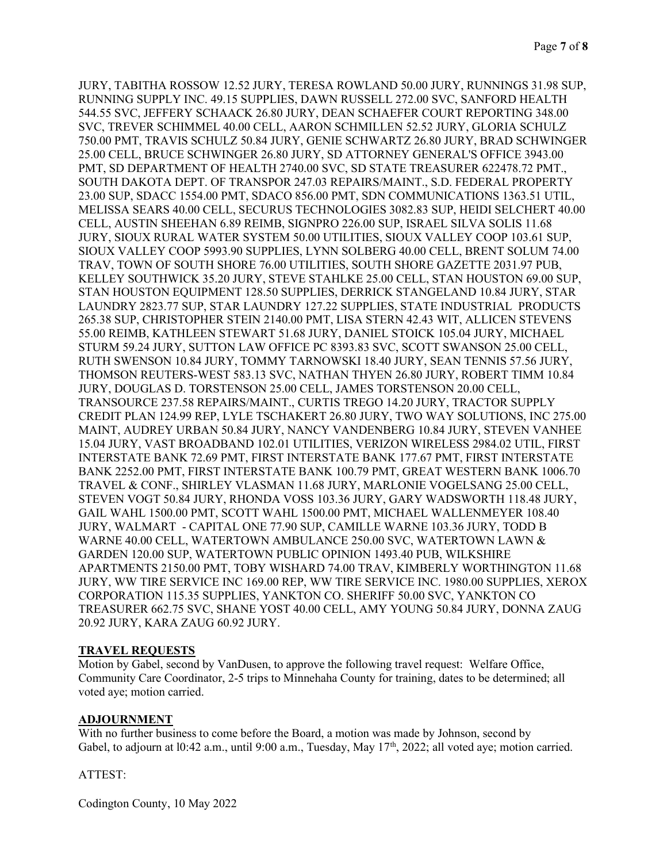JURY, TABITHA ROSSOW 12.52 JURY, TERESA ROWLAND 50.00 JURY, RUNNINGS 31.98 SUP, RUNNING SUPPLY INC. 49.15 SUPPLIES, DAWN RUSSELL 272.00 SVC, SANFORD HEALTH 544.55 SVC, JEFFERY SCHAACK 26.80 JURY, DEAN SCHAEFER COURT REPORTING 348.00 SVC, TREVER SCHIMMEL 40.00 CELL, AARON SCHMILLEN 52.52 JURY, GLORIA SCHULZ 750.00 PMT, TRAVIS SCHULZ 50.84 JURY, GENIE SCHWARTZ 26.80 JURY, BRAD SCHWINGER 25.00 CELL, BRUCE SCHWINGER 26.80 JURY, SD ATTORNEY GENERAL'S OFFICE 3943.00 PMT, SD DEPARTMENT OF HEALTH 2740.00 SVC, SD STATE TREASURER 622478.72 PMT., SOUTH DAKOTA DEPT. OF TRANSPOR 247.03 REPAIRS/MAINT., S.D. FEDERAL PROPERTY 23.00 SUP, SDACC 1554.00 PMT, SDACO 856.00 PMT, SDN COMMUNICATIONS 1363.51 UTIL, MELISSA SEARS 40.00 CELL, SECURUS TECHNOLOGIES 3082.83 SUP, HEIDI SELCHERT 40.00 CELL, AUSTIN SHEEHAN 6.89 REIMB, SIGNPRO 226.00 SUP, ISRAEL SILVA SOLIS 11.68 JURY, SIOUX RURAL WATER SYSTEM 50.00 UTILITIES, SIOUX VALLEY COOP 103.61 SUP, SIOUX VALLEY COOP 5993.90 SUPPLIES, LYNN SOLBERG 40.00 CELL, BRENT SOLUM 74.00 TRAV, TOWN OF SOUTH SHORE 76.00 UTILITIES, SOUTH SHORE GAZETTE 2031.97 PUB, KELLEY SOUTHWICK 35.20 JURY, STEVE STAHLKE 25.00 CELL, STAN HOUSTON 69.00 SUP, STAN HOUSTON EQUIPMENT 128.50 SUPPLIES, DERRICK STANGELAND 10.84 JURY, STAR LAUNDRY 2823.77 SUP, STAR LAUNDRY 127.22 SUPPLIES, STATE INDUSTRIAL PRODUCTS 265.38 SUP, CHRISTOPHER STEIN 2140.00 PMT, LISA STERN 42.43 WIT, ALLICEN STEVENS 55.00 REIMB, KATHLEEN STEWART 51.68 JURY, DANIEL STOICK 105.04 JURY, MICHAEL STURM 59.24 JURY, SUTTON LAW OFFICE PC 8393.83 SVC, SCOTT SWANSON 25.00 CELL, RUTH SWENSON 10.84 JURY, TOMMY TARNOWSKI 18.40 JURY, SEAN TENNIS 57.56 JURY, THOMSON REUTERS-WEST 583.13 SVC, NATHAN THYEN 26.80 JURY, ROBERT TIMM 10.84 JURY, DOUGLAS D. TORSTENSON 25.00 CELL, JAMES TORSTENSON 20.00 CELL, TRANSOURCE 237.58 REPAIRS/MAINT., CURTIS TREGO 14.20 JURY, TRACTOR SUPPLY CREDIT PLAN 124.99 REP, LYLE TSCHAKERT 26.80 JURY, TWO WAY SOLUTIONS, INC 275.00 MAINT, AUDREY URBAN 50.84 JURY, NANCY VANDENBERG 10.84 JURY, STEVEN VANHEE 15.04 JURY, VAST BROADBAND 102.01 UTILITIES, VERIZON WIRELESS 2984.02 UTIL, FIRST INTERSTATE BANK 72.69 PMT, FIRST INTERSTATE BANK 177.67 PMT, FIRST INTERSTATE BANK 2252.00 PMT, FIRST INTERSTATE BANK 100.79 PMT, GREAT WESTERN BANK 1006.70 TRAVEL & CONF., SHIRLEY VLASMAN 11.68 JURY, MARLONIE VOGELSANG 25.00 CELL, STEVEN VOGT 50.84 JURY, RHONDA VOSS 103.36 JURY, GARY WADSWORTH 118.48 JURY, GAIL WAHL 1500.00 PMT, SCOTT WAHL 1500.00 PMT, MICHAEL WALLENMEYER 108.40 JURY, WALMART - CAPITAL ONE 77.90 SUP, CAMILLE WARNE 103.36 JURY, TODD B WARNE 40.00 CELL, WATERTOWN AMBULANCE 250.00 SVC, WATERTOWN LAWN & GARDEN 120.00 SUP, WATERTOWN PUBLIC OPINION 1493.40 PUB, WILKSHIRE APARTMENTS 2150.00 PMT, TOBY WISHARD 74.00 TRAV, KIMBERLY WORTHINGTON 11.68 JURY, WW TIRE SERVICE INC 169.00 REP, WW TIRE SERVICE INC. 1980.00 SUPPLIES, XEROX CORPORATION 115.35 SUPPLIES, YANKTON CO. SHERIFF 50.00 SVC, YANKTON CO TREASURER 662.75 SVC, SHANE YOST 40.00 CELL, AMY YOUNG 50.84 JURY, DONNA ZAUG 20.92 JURY, KARA ZAUG 60.92 JURY.

## TRAVEL REQUESTS

Motion by Gabel, second by VanDusen, to approve the following travel request: Welfare Office, Community Care Coordinator, 2-5 trips to Minnehaha County for training, dates to be determined; all voted aye; motion carried.

# **ADJOURNMENT**

With no further business to come before the Board, a motion was made by Johnson, second by Gabel, to adjourn at  $10:42$  a.m., until  $9:00$  a.m., Tuesday, May  $17<sup>th</sup>$ , 2022; all voted aye; motion carried.

#### ATTEST:

Codington County, 10 May 2022